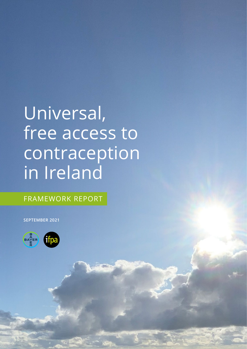# Universal, free access to contraception in Ireland

FRAMEWORK REPORT

**SEPTEMBER 2021**

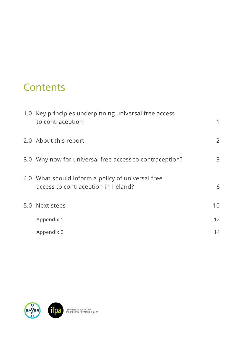# **Contents**

| 1.0 Key principles underpinning universal free access<br>to contraception                | 1  |
|------------------------------------------------------------------------------------------|----|
| 2.0 About this report                                                                    | 2  |
| 3.0 Why now for universal free access to contraception?                                  | 3  |
| 4.0 What should inform a policy of universal free<br>access to contraception in Ireland? | 6  |
| 5.0 Next steps                                                                           | 10 |
| Appendix 1                                                                               | 12 |
| Appendix 2                                                                               | 14 |

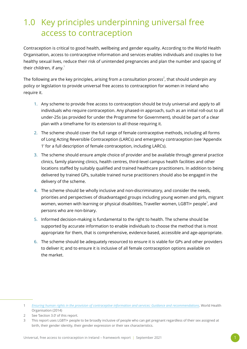# <span id="page-2-1"></span><span id="page-2-0"></span>1.0 Key principles underpinning universal free access to contraception

Contraception is critical to good health, wellbeing and gender equality. According to the World Health Organisation, access to contraceptive information and services enables individuals and couples to live healthy sexual lives, reduce their risk of unintended pregnancies and plan the number and spacing of their children, if any. $1$ 

The following are the key principles, arising from a consultation process $^2$ , that should underpin any policy or legislation to provide universal free access to contraception for women in Ireland who require it.

- 1. Any scheme to provide free access to contraception should be truly universal and apply to all individuals who require contraception. Any phased-in approach, such as an initial roll-out to all under-25s (as provided for under the Programme for Government), should be part of a clear plan with a timeframe for its extension to all those requiring it.
- 2. The scheme should cover the full range of female contraceptive methods, including all forms of Long Acting Reversible Contraception (LARCs) and emergency contraception (see ['Appendix](#page-13-1)  [1'](#page-13-1) for a full description of female contraception, including LARCs).
- 3. The scheme should ensure ample choice of provider and be available through general practice clinics, family planning clinics, health centres, third-level campus health facilities and other locations staffed by suitably qualified and trained healthcare practitioners. In addition to being delivered by trained GPs, suitable trained nurse practitioners should also be engaged in the delivery of the scheme.
- 4. The scheme should be wholly inclusive and non-discriminatory, and consider the needs, priorities and perspectives of disadvantaged groups including young women and girls, migrant women, women with learning or physical disabilities, Traveller women, LGBTI+ people $^{\text{\tiny 3}}$ , and persons who are non-binary.
- 5. Informed decision-making is fundamental to the right to health. The scheme should be supported by accurate information to enable individuals to choose the method that is most appropriate for them, that is comprehensive, evidence-based, accessible and age-appropriate.
- 6. The scheme should be adequately resourced to ensure it is viable for GPs and other providers to deliver it; and to ensure it is inclusive of all female contraception options available on the market.

2 See 'Section 3.0' of this report.

<sup>1</sup> *[Ensuring human rights in the provision of contraceptive information and services: Guidance and recommendations](https://www.who.int/reproductivehealth/publications/family_planning/human-rights-contraception/en/)*. World Health Organisation (2014)

<sup>3</sup> This report uses LGBTI+ people to be broadly inclusive of people who can get pregnant regardless of their sex assigned at birth, their gender identity, their gender expression or their sex characteristics.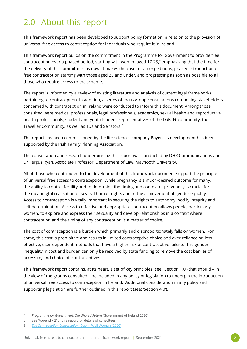# <span id="page-3-0"></span>2.0 About this report

This framework report has been developed to support policy formation in relation to the provision of universal free access to contraception for individuals who require it in Ireland.

This framework report builds on the commitment in the Programme for Government to provide free contraception over a phased period, starting with women aged 17-25, $^{\text{4}}$  emphasising that the time for the delivery of this commitment is now. It makes the case for an expeditious, phased introduction of free contraception starting with those aged 25 and under, and progressing as soon as possible to all those who require access to the scheme.

The report is informed by a review of existing literature and analysis of current legal frameworks pertaining to contraception. In addition, a series of focus group consultations comprising stakeholders concerned with contraception in Ireland were conducted to inform this document. Among those consulted were medical professionals, legal professionals, academics, sexual health and reproductive health professionals, student and youth leaders, representatives of the LGBTI+ community, the Traveller Community, as well as TDs and Senators.<sup>5</sup>

The report has been commissioned by the life-sciences company Bayer. Its development has been supported by the Irish Family Planning Association.

The consultation and research underpinning this report was conducted by DHR Communications and Dr Fergus Ryan, Associate Professor, Department of Law, Maynooth University.

All of those who contributed to the development of this framework document support the principle of universal free access to contraception. While pregnancy is a much-desired outcome for many, the ability to control fertility and to determine the timing and context of pregnancy is crucial for the meaningful realisation of several human rights and to the achievement of gender equality. Access to contraception is vitally important in securing the rights to autonomy, bodily integrity and self-determination. Access to effective and appropriate contraception allows people, particularly women, to explore and express their sexuality and develop relationships in a context where contraception and the timing of any contraception is a matter of choice.

The cost of contraception is a burden which primarily and disproportionately falls on women. For some, this cost is prohibitive and results in limited contraceptive choice and over-reliance on less effective, user-dependent methods that have a higher risk of contraceptive failure. $^6$  The gender inequality in cost and burden can only be resolved by state funding to remove the cost barrier of access to, and choice of, contraceptives.

This framework report contains, at its heart, a set of key principles (see: ['Section 1.0'](#page-2-1)) that should – in the view of the groups consulted – be included in any policy or legislation to underpin the introduction of universal free access to contraception in Ireland. Additional consideration in any policy and supporting legislation are further outlined in this report (see: ['Section 4.0'\)](#page-7-1).

<sup>4</sup> *Programme for Government: Our Shared Future* (Government of Ireland 2020).

<sup>5</sup> See ['Appendix 2'](#page-15-1) of this report for details of consultees.

<sup>6</sup> *[The Contraception Conversation](https://wellwomancentre.ie/wp-content/uploads/2020/11/Dublin_WWC_CONTRACEPTIVE_Report_NOV2020_FINAL.pdf)*, Dublin Well Woman (2020)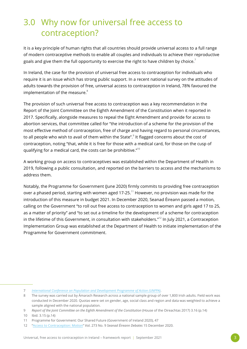# <span id="page-4-0"></span>3.0 Why now for universal free access to contraception?

It is a key principle of human rights that all countries should provide universal access to a full range of modern contraceptive methods to enable all couples and individuals to achieve their reproductive goals and give them the full opportunity to exercise the right to have children by choice. $^7$ 

In Ireland, the case for the provision of universal free access to contraception for individuals who require it is an issue which has strong public support. In a recent national survey on the attitudes of adults towards the provision of free, universal access to contraception in Ireland, 78% favoured the implementation of the measure.<sup>8</sup>

The provision of such universal free access to contraception was a key recommendation in the Report of the Joint Committee on the Eighth Amendment of the Constitution when it reported in 2017. Specifically, alongside measures to repeal the Eight Amendment and provide for access to abortion services, that committee called for "the introduction of a scheme for the provision of the most effective method of contraception, free of charge and having regard to personal circumstances, to all people who wish to avail of them within the State". $^{\circ}$  It flagged concerns about the cost of contraception, noting "that, while it is free for those with a medical card, for those on the cusp of qualifying for a medical card, the costs can be prohibitive. $T^{10}$ 

A working group on access to contraceptives was established within the Department of Health in 2019, following a public consultation, and reported on the barriers to access and the mechanisms to address them.

Notably, the Programme for Government (June 2020) firmly commits to providing free contraception over a phased period, starting with women aged 17-25.<sup>11</sup> However, no provision was made for the introduction of this measure in budget 2021. In December 2020, Seanad Éireann passed a motion, calling on the Government "to roll out free access to contraception to women and girls aged 17 to 25, as a matter of priority" and "to set out a timeline for the development of a scheme for contraception in the lifetime of this Government, in consultation with stakeholders."<sup>12</sup> In July 2021, a Contraception Implementation Group was established at the Department of Health to initiate implementation of the Programme for Government commitment.

10 Ibid. 3.15 (p.14)

<sup>7</sup> *[International Conference on Population and Development Programme of Action \(UNFPA\)](https://www.unfpa.org/publications/international-conference-population-and-development-programme-action)*.

<sup>8</sup> The survey was carried out by Ámarach Research across a national sample group of over 1,800 Irish adults. Field work was conducted in December 2020. Quotas were set on gender, age, social class and region and data was weighted to achieve a sample aligned with the national population.

<sup>9</sup> *Report of the Joint Committee on the Eighth Amendment of the Constitution* (House of the Oireachtas 2017) 3.16 (p.14)

<sup>11</sup> Programme for Government: Our Shared Future (Government of Ireland 2020), 47

<sup>12</sup> ["Access to Contraception: Motion"](https://www.oireachtas.ie/en/debates/debate/seanad/2020-12-15/11/) Vol. 273 No. 9 *Seanad Éireann Debates* 15 December 2020.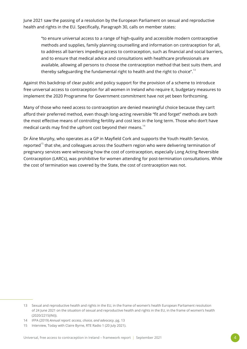June 2021 saw the passing of a resolution by the European Parliament on sexual and reproductive health and rights in the EU. Specifically, Paragraph 30, calls on member states:

"to ensure universal access to a range of high-quality and accessible modern contraceptive methods and supplies, family planning counselling and information on contraception for all, to address all barriers impeding access to contraception, such as financial and social barriers, and to ensure that medical advice and consultations with healthcare professionals are available, allowing all persons to choose the contraception method that best suits them, and thereby safeguarding the fundamental right to health and the right to choice".<sup>13</sup>

Against this backdrop of clear public and policy support for the provision of a scheme to introduce free universal access to contraception for all women in Ireland who require it, budgetary measures to implement the 2020 Programme for Government commitment have not yet been forthcoming.

Many of those who need access to contraception are denied meaningful choice because they can't afford their preferred method, even though long-acting reversible "fit and forget" methods are both the most effective means of controlling fertility and cost less in the long term. Those who don't have medical cards may find the upfront cost beyond their means.<sup>14</sup>

Dr Áine Murphy, who operates as a GP in Mayfield Cork and supports the Youth Health Service, reported<sup>15</sup> that she, and colleagues across the Southern region who were delivering termination of pregnancy services were witnessing how the cost of contraception, especially Long Acting Reversible Contraception (LARCs), was prohibitive for women attending for post-termination consultations. While the cost of termination was covered by the State, the cost of contraception was not.

<sup>13</sup> Sexual and reproductive health and rights in the EU, in the frame of women's health European Parliament resolution of 24 June 2021 on the situation of sexual and reproductive health and rights in the EU, in the frame of women's health (2020/2215(INI)).

<sup>14</sup> IFPA (2019) *Annual report: access, choice, and advocacy*, pg. 13

<sup>15</sup> Interview, Today with Claire Byrne, RTE Radio 1 (20 July 2021).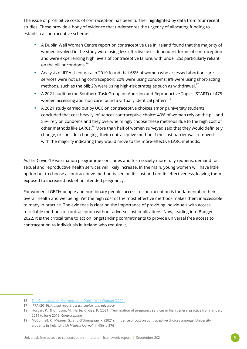The issue of prohibitive costs of contraception has been further highlighted by data from four recent studies. These provide a body of evidence that underscores the urgency of allocating funding to establish a contraceptive scheme:

- A Dublin Well Woman Centre report on contraceptive use in Ireland found that the majority of women involved in the study were using less effective user-dependent forms of contraception and were experiencing high levels of contraceptive failure, with under 25s particularly reliant on the pill or condoms.<sup>16</sup>
- Analysis of IFPA client data in 2019 found that 68% of women who accessed abortion care services were not using contraception; 20% were using condoms; 8% were using short-acting methods, such as the pill; 2% were using high-risk strategies such as withdrawal.<sup>17</sup>
- A 2021 audit by the Southern Task Group on Abortion and Reproductive Topics (START) of 475 women accessing abortion care found a virtually identical pattern.<sup>18</sup>
- A 2021 study carried out by UCC on contraceptive choices among university students concluded that cost heavily influences contraceptive choice: 40% of women rely on the pill and 55% rely on condoms and they overwhelmingly choose these methods due to the high cost of other methods like LARCs.<sup>19</sup> More than half of women surveyed said that they would definitely change, or consider changing, their contraceptive method if the cost barrier was removed, with the majority indicating they would move to the more-effective LARC methods.

As the Covid-19 vaccination programme concludes and Irish society more fully reopens, demand for sexual and reproductive health services will likely increase. In the main, young women will have little option but to choose a contraceptive method based on its cost and not its effectiveness, leaving them exposed to increased risk of unintended pregnancy.

For women, LGBTI+ people and non-binary people, access to contraception is fundamental to their overall health and wellbeing. Yet the high cost of the most effective methods makes them inaccessible to many in practice. The evidence is clear on the importance of providing individuals with access to reliable methods of contraception without adverse cost implications. Now, leading into Budget 2022, it is the critical time to act on longstanding commitments to provide universal free access to contraception to individuals in Ireland who require it.

<sup>16</sup> [The Contraception Conversation, Dublin Well Woman \(2020\)](https://wellwomancentre.ie/new-research-shows-majority-of-women-in-ireland-are-using-ineffective-contraception-to-prevent-pregnancy) 

<sup>17</sup> IFPA (2019). *Annual report: access, choice, and advocacy.*

<sup>18</sup> Horgan, P., Thompson, M., Harte, K., Gee, R. (2021). Termination of pregnancy services in Irish general practice from January 2019 to June 2019. *Contraception.* 

<sup>19</sup> McConnell, R., Meaney, S., and O'Donoghue, K. (2021). Influence of cost on contraceptive choices amongst University students in Ireland. *Irish Medical Journal*, 114(6), p.376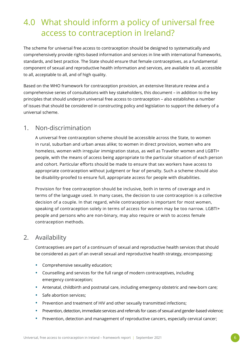# <span id="page-7-1"></span><span id="page-7-0"></span>4.0 What should inform a policy of universal free access to contraception in Ireland?

The scheme for universal free access to contraception should be designed to systematically and comprehensively provide rights-based information and services in line with international frameworks, standards, and best practice. The State should ensure that female contraceptives, as a fundamental component of sexual and reproductive health information and services, are available to all, accessible to all, acceptable to all, and of high quality.

Based on the WHO framework for contraception provision, an extensive literature review and a comprehensive series of consultations with key stakeholders, this document – in addition to the key principles that should underpin universal free access to contraception – also establishes a number of issues that should be considered in constructing policy and legislation to support the delivery of a universal scheme.

#### 1. Non-discrimination

A universal free contraception scheme should be accessible across the State, to women in rural, suburban and urban areas alike; to women in direct provision, women who are homeless, women with irregular immigration status, as well as Traveller women and LGBTI+ people, with the means of access being appropriate to the particular situation of each person and cohort. Particular efforts should be made to ensure that sex workers have access to appropriate contraception without judgment or fear of penalty. Such a scheme should also be disability-proofed to ensure full, appropriate access for people with disabilities.

Provision for free contraception should be inclusive, both in terms of coverage and in terms of the language used. In many cases, the decision to use contraception is a collective decision of a couple. In that regard, while contraception is important for most women, speaking of contraception solely in terms of access for women may be too narrow. LGBTI+ people and persons who are non-binary, may also require or wish to access female contraception methods.

#### 2. Availability

Contraceptives are part of a continuum of sexual and reproductive health services that should be considered as part of an overall sexual and reproductive health strategy, encompassing:

- Comprehensive sexuality education;
- Counselling and services for the full range of modern contraceptives, including emergency contraception;
- Antenatal, childbirth and postnatal care, including emergency obstetric and new-born care;
- Safe abortion services:
- Prevention and treatment of HIV and other sexually transmitted infections;
- Prevention, detection, immediate services and referrals for cases of sexual and gender-based violence;
- Prevention, detection and management of reproductive cancers, especially cervical cancer;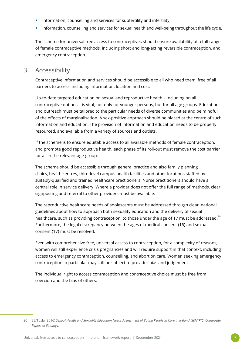- Information, counselling and services for subfertility and infertility;
- Information, counselling and services for sexual health and well-being throughout the life cycle.

The scheme for universal free access to contraceptives should ensure availability of a full range of female contraceptive methods, including short and long-acting reversible contraception, and emergency contraception.

#### 3. Accessibility

Contraceptive information and services should be accessible to all who need them, free of all barriers to access, including information, location and cost.

Up-to-date targeted education on sexual and reproductive health – including on all contraceptive options – is vital, not only for younger persons, but for all age groups. Education and outreach must be tailored to the particular needs of diverse communities and be mindful of the effects of marginalisation. A sex-positive approach should be placed at the centre of such information and education. The provision of information and education needs to be properly resourced, and available from a variety of sources and outlets.

If the scheme is to ensure equitable access to all available methods of female contraception, and promote good reproductive health, each phase of its roll-out must remove the cost barrier for all in the relevant age-group.

The scheme should be accessible through general practice and also family planning clinics, health centres, third-level campus health facilities and other locations staffed by suitably-qualified and trained healthcare practitioners. Nurse practitioners should have a central role in service delivery. Where a provider does not offer the full range of methods, clear signposting and referral to other providers must be available.

The reproductive healthcare needs of adolescents must be addressed through clear, national guidelines about how to approach both sexuality education and the delivery of sexual healthcare, such as providing contraception, to those under the age of 17 must be addressed.<sup>20</sup> Furthermore, the legal discrepancy between the ages of medical consent (16) and sexual consent (17) must be resolved.

Even with comprehensive free, universal access to contraception, for a complexity of reasons, women will still experience crisis pregnancies and will require support in that context, including access to emergency contraception, counselling, and abortion care. Women seeking emergency contraception in particular may still be subject to provider bias and judgement.

The individual right to access contraception and contraceptive choice must be free from coercion and the bias of others.

<sup>20</sup> SE/Tusla (2016) *Sexual Health and Sexuality Education Needs Assessment of Young People in Care in Ireland (SENYPIC) Composite Report of Findings.*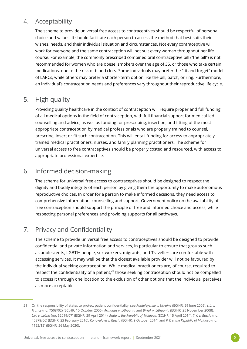## 4. Acceptability

The scheme to provide universal free access to contraceptives should be respectful of personal choice and values. It should facilitate each person to access the method that best suits their wishes, needs, and their individual situation and circumstances. Not every contraceptive will work for everyone and the same contraception will not suit every woman throughout her life course. For example, the commonly prescribed combined oral contraceptive pill ("the pill") is not recommended for women who are obese, smokers over the age of 35, or those who take certain medications, due to the risk of blood clots. Some individuals may prefer the "fit and forget" model of LARCs, while others may prefer a shorter-term option like the pill, patch, or ring. Furthermore, an individual's contraception needs and preferences vary throughout their reproductive life cycle.

### 5. High quality

Providing quality healthcare in the context of contraception will require proper and full funding of all medical options in the field of contraception, with full financial support for medical-led counselling and advice, as well as funding for prescribing, insertion, and fitting of the most appropriate contraception by medical professionals who are properly trained to counsel, prescribe, insert or fit such contraception. This will entail funding for access to appropriately trained medical practitioners, nurses, and family planning practitioners. The scheme for universal access to free contraceptives should be properly costed and resourced, with access to appropriate professional expertise.

## 6. Informed decision-making

The scheme for universal free access to contraceptives should be designed to respect the dignity and bodily integrity of each person by giving them the opportunity to make autonomous reproductive choices. In order for a person to make informed decisions, they need access to comprehensive information, counselling and support. Government policy on the availability of free contraception should support the principle of free and informed choice and access, while respecting personal preferences and providing supports for all pathways.

#### 7. Privacy and Confidentiality

The scheme to provide universal free access to contraceptives should be designed to provide confidential and private information and services, in particular to ensure that groups such as adolescents, LGBTI+ people, sex workers, migrants, and Travellers are comfortable with accessing services. It may well be that the closest available provider will not be favoured by the individual seeking contraception. While medical practitioners are, of course, required to respect the confidentiality of a patient, $^{21}$  those seeking contraception should not be compelled to access it through one location to the exclusion of other options that the individual perceives as more acceptable.

<sup>21</sup> On the responsibility of states to protect patient confidentiality, see *Panteleyenko v. Ukraine* (ECtHR, 29 June 2006), *L.L. v. France* (no. 7508/02) (ECtHR, 10 October 2006), *Armonas v. Lithuania* and *Biriuk v. Lithuania* (ECtHR, 25 November 2008), *L.H. v. Latvia* (no. 52019/07) (ECtHR, 29 April 2014), *Radu v. the Republic of Moldova,* (ECtHR, 15 April 2014), *Y.Y. v. Russia* (no. 40378/06) (ECtHR, 23 February 2016), *Konovalova v. Russia* (ECtHR, 9 October 2014) and *P.T. v. the Republic of Moldova* (no. 1122/12) (ECtHR, 26 May 2020).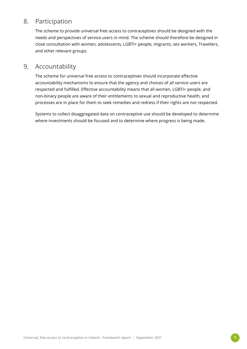### 8. Participation

The scheme to provide universal free access to contraceptives should be designed with the needs and perspectives of service users in mind. The scheme should therefore be designed in close consultation with women, adolescents, LGBTI+ people, migrants, sex workers, Travellers, and other relevant groups.

#### 9. Accountability

The scheme for universal free access to contraceptives should incorporate effective accountability mechanisms to ensure that the agency and choices of all service users are respected and fulfilled. Effective accountability means that all women, LGBTI+ people, and non-binary people are aware of their entitlements to sexual and reproductive health, and processes are in place for them to seek remedies and redress if their rights are not respected.

Systems to collect disaggregated data on contraceptive use should be developed to determine where investments should be focused and to determine where progress is being made.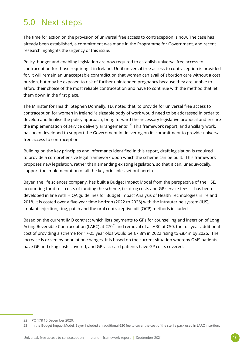## <span id="page-11-0"></span>5.0 Next steps

The time for action on the provision of universal free access to contraception is now. The case has already been established, a commitment was made in the Programme for Government, and recent research highlights the urgency of this issue.

Policy, budget and enabling legislation are now required to establish universal free access to contraception for those requiring it in Ireland. Until universal free access to contraception is provided for, it will remain an unacceptable contradiction that women can avail of abortion care without a cost burden, but may be exposed to risk of further unintended pregnancy because they are unable to afford their choice of the most reliable contraception and have to continue with the method that let them down in the first place.

The Minister for Health, Stephen Donnelly, TD, noted that, to provide for universal free access to contraception for women in Ireland "a sizeable body of work would need to be addressed in order to develop and finalise the policy approach, bring forward the necessary legislative proposal and ensure the implementation of service delivery arrangements".<sup>22</sup> This framework report, and ancillary work, has been developed to support the Government in delivering on its commitment to provide universal free access to contraception.

Building on the key principles and informants identified in this report, draft legislation is required to provide a comprehensive legal framework upon which the scheme can be built. This framework proposes new legislation, rather than amending existing legislation, so that it can, unequivocally, support the implementation of all the key principles set out herein.

Bayer, the life sciences company, has built a Budget Impact Model from the perspective of the HSE, accounting for direct costs of funding the scheme, i.e. drug costs and GP service fees. It has been developed in line with HIQA guidelines for Budget Impact Analysis of Health Technologies in Ireland 2018. It is costed over a five-year time horizon (2022 to 2026) with the intrauterine system (IUS), implant, injection, ring, patch and the oral contraceptive pill (OCP) methods included.

Based on the current IMO contract which lists payments to GPs for counselling and insertion of Long Acting Reversible Contraception (LARC) at  $\epsilon$ 70<sup>23</sup> and removal of a LARC at  $\epsilon$ 50, the full year additional cost of providing a scheme for 17-25 year olds would be €7.8m in 2022 rising to €8.4m by 2026. The increase is driven by population changes. It is based on the current situation whereby GMS patients have GP and drug costs covered, and GP visit card patients have GP costs covered.

22 PQ 178 10 December 2020.

<sup>23</sup> In the Budget Impact Model, Bayer included an additional €20 fee to cover the cost of the sterile pack used in LARC insertion.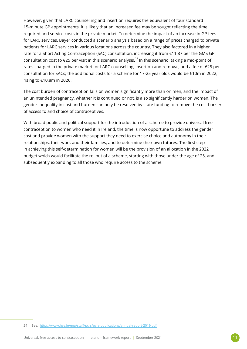However, given that LARC counselling and insertion requires the equivalent of four standard 15-minute GP appointments, it is likely that an increased fee may be sought reflecting the time required and service costs in the private market. To determine the impact of an increase in GP fees for LARC services, Bayer conducted a scenario analysis based on a range of prices charged to private patients for LARC services in various locations across the country. They also factored in a higher rate for a Short Acting Contraception (SAC) consultation, increasing it from €11.87 per the GMS GP consultation cost to  $\epsilon$ 25 per visit in this scenario analysis.<sup>24</sup> In this scenario, taking a mid-point of rates charged in the private market for LARC counselling, insertion and removal; and a fee of €25 per consultation for SACs; the additional costs for a scheme for 17-25 year olds would be €10m in 2022, rising to €10.8m in 2026.

The cost burden of contraception falls on women significantly more than on men, and the impact of an unintended pregnancy, whether it is continued or not, is also significantly harder on women. The gender inequality in cost and burden can only be resolved by state funding to remove the cost barrier of access to and choice of contraceptives.

With broad public and political support for the introduction of a scheme to provide universal free contraception to women who need it in Ireland, the time is now opportune to address the gender cost and provide women with the support they need to exercise choice and autonomy in their relationships, their work and their families, and to determine their own futures. The first step in achieving this self-determination for women will be the provision of an allocation in the 2022 budget which would facilitate the rollout of a scheme, starting with those under the age of 25, and subsequently expanding to all those who require access to the scheme.

<sup>24</sup> See: <https://www.hse.ie/eng/staff/pcrs/pcrs-publications/annual-report-2019.pdf>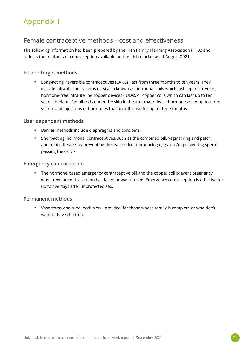## <span id="page-13-1"></span><span id="page-13-0"></span>Appendix 1

### Female contraceptive methods—cost and effectiveness

The following information has been prepared by the Irish Family Planning Association (IFPA) and reflects the methods of contraception available on the Irish market as of August 2021.

#### **Fit and forget methods**

• Long-acting, reversible contraceptives (LARCs) last from three months to ten years. They include intrauterine systems (IUS) also known as hormonal coils which lasts up to six years; hormone-free intrauterine copper devices (IUDs), or copper coils which can last up to ten years; implants (small rods under the skin in the arm that release hormones over up to three years); and injections of hormones that are effective for up to three months.

#### **User dependent methods**

- Barrier methods include diaphragms and condoms.
- Short-acting, hormonal contraceptives, such as the combined pill, vaginal ring and patch, and mini pill, work by preventing the ovaries from producing eggs and/or preventing sperm passing the cervix.

#### **Emergency contraception**

• The hormone-based emergency contraceptive pill and the copper coil prevent pregnancy when regular contraception has failed or wasn't used. Emergency contraception is effective for up to five days after unprotected sex.

#### **Permanent methods**

• Vasectomy and tubal occlusion—are ideal for those whose family is complete or who don't want to have children.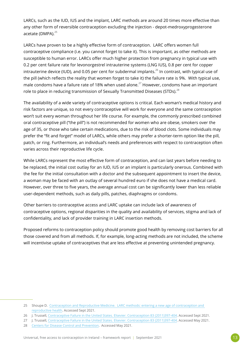LARCs, such as the IUD, IUS and the implant, LARC methods are around 20 times more effective than any other form of reversible contraception excluding the injection - depot-medroxyprogesterone acetate (DMPA).<sup>25</sup>

LARCs have proven to be a highly effective form of contraception. LARC offers women full contraceptive compliance (i.e. you cannot forget to take it). This is important, as other methods are susceptible to human error. LARCs offer much higher protection from pregnancy in typical use with 0.2 per cent failure rate for levonorgestrel intrauterine systems (LNG IUS), 0.8 per cent for copper intrauterine device (IUD), and 0.05 per cent for subdermal implants.<sup>26</sup> In contrast, with typical use of the pill (which reflects the reality that women forget to take it) the failure rate is 9%. With typical use, male condoms have a failure rate of 18% when used alone.<sup>27</sup> However, condoms have an important role to place in reducing transmission of Sexually Transmitted Diseases (STDs).<sup>28</sup>

The availability of a wide variety of contraceptive options is critical. Each woman's medical history and risk factors are unique, so not every contraceptive will work for everyone and the same contraception won't suit every woman throughout her life course. For example, the commonly prescribed combined oral contraceptive pill ("the pill") is not recommended for women who are obese, smokers over the age of 35, or those who take certain medications, due to the risk of blood clots. Some individuals may prefer the "fit and forget" model of LARCs, while others may prefer a shorter-term option like the pill, patch, or ring. Furthermore, an individual's needs and preferences with respect to contraception often varies across their reproductive life cycle.

While LARCs represent the most effective form of contraception, and can last years before needing to be replaced, the initial cost outlay for an IUD, IUS or an implant is particularly onerous. Combined with the fee for the initial consultation with a doctor and the subsequent appointment to insert the device, a woman may be faced with an outlay of several hundred euro if she does not have a medical card. However, over three to five years, the average annual cost can be significantly lower than less reliable user-dependent methods, such as daily pills, patches, diaphragms or condoms.

Other barriers to contraceptive access and LARC uptake can include lack of awareness of contraceptive options, regional disparities in the quality and availability of services, stigma and lack of confidentiality, and lack of provider training in LARC insertion methods.

Proposed reforms to contraception policy should promote good health by removing cost barriers for all those covered and from all methods. If, for example, long-acting methods are not included, the scheme will incentivise uptake of contraceptives that are less effective at preventing unintended pregnancy.

<sup>25</sup> Shoupe D. [Contraception and Reproductive Medicine. LARC methods: entering a new age of contraception and](https://www.ncbi.nlm.nih.gov/pmc/articles/PMC5675060/#:~:text=LARC%20methods%20are%20around%2020,injection%20%5B1%E2%80%933%5D.&text=But%20rates%20of%20unintended%20pregnancy,provera%20group)%20%5B1%5D)  [reproductive health.](https://www.ncbi.nlm.nih.gov/pmc/articles/PMC5675060/#:~:text=LARC%20methods%20are%20around%2020,injection%20%5B1%E2%80%933%5D.&text=But%20rates%20of%20unintended%20pregnancy,provera%20group)%20%5B1%5D) Accessed Sept 2021.

<sup>26</sup> J. Trussell, [Contraceptive Failure in the United States. Elsevier. Contraception 83 \(2011\)397-404.](https://www.sciencedirect.com/science/article/pii/S0010782411000497) Accessed Sept 2021.

<sup>27</sup> J. Trussell, [Contraceptive Failure in the United States. Elsevier. Contraception 83 \(2011\)397-404.](https://www.sciencedirect.com/science/article/pii/S0010782411000497) Accessed May 2021.

<sup>28</sup> [Centers for Disease Control and Prevention](ttps://www.cdc.gov/condomeffectiveness/docs/condoms_and_stds.pdf). Accessed May 2021.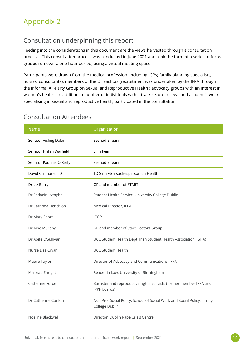## <span id="page-15-1"></span><span id="page-15-0"></span>Appendix 2

## Consultation underpinning this report

Feeding into the considerations in this document are the views harvested through a consultation process. This consultation process was conducted in June 2021 and took the form of a series of focus groups run over a one-hour period, using a virtual meeting space.

Participants were drawn from the medical profession (including: GPs; family planning specialists; nurses; consultants); members of the Oireachtas (recruitment was undertaken by the IFPA through the informal All-Party Group on Sexual and Reproductive Health); advocacy groups with an interest in women's health. In addition, a number of individuals with a track record in legal and academic work, specialising in sexual and reproductive health, participated in the consultation.

| Name                     | Organisation                                                                                |
|--------------------------|---------------------------------------------------------------------------------------------|
| Senator Aisling Dolan    | Seanad Eireann                                                                              |
| Senator Fintan Warfield  | Sinn Féin                                                                                   |
| Senator Pauline O'Reilly | Seanad Eireann                                                                              |
| David Cullinane, TD      | TD Sinn Féin spokesperson on Health                                                         |
| Dr Liz Barry             | GP and member of START                                                                      |
| Dr Éadaoin Lysaght       | Student Health Service, University College Dublin                                           |
| Dr Catriona Henchion     | Medical Director, IFPA                                                                      |
| Dr Mary Short            | <b>ICGP</b>                                                                                 |
| Dr Aine Murphy           | GP and member of Start Doctors Group                                                        |
| Dr Aoife O'Sullivan      | UCC Student Health Dept, Irish Student Health Association (ISHA)                            |
| Nurse Lisa Cryan         | <b>UCC Student Health</b>                                                                   |
| Maeve Taylor             | Director of Advocacy and Communications, IFPA                                               |
| Mairead Enright          | Reader in Law, University of Birmingham                                                     |
| Catherine Forde          | Barrister and reproductive rights activists (former member IFPA and<br>IPPF boards)         |
| Dr Catherine Conlon      | Asst Prof Social Policy, School of Social Work and Social Policy, Trinity<br>College Dublin |
| Noeline Blackwell        | Director, Dublin Rape Crisis Centre                                                         |

### Consultation Attendees